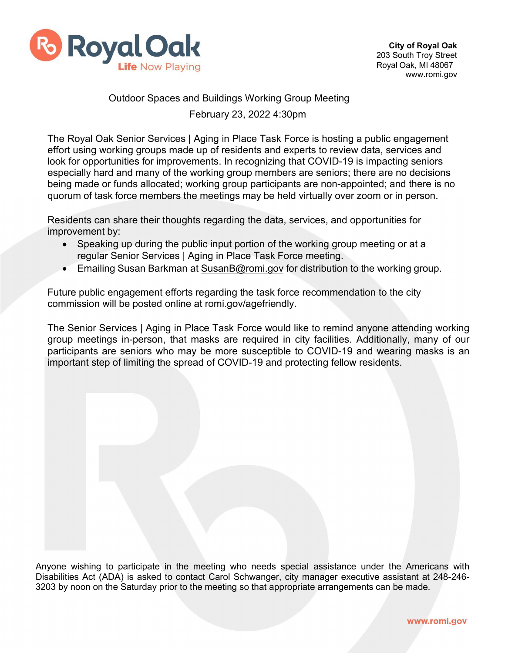

## Outdoor Spaces and Buildings Working Group Meeting

February 23, 2022 4:30pm

The Royal Oak Senior Services | Aging in Place Task Force is hosting a public engagement effort using working groups made up of residents and experts to review data, services and look for opportunities for improvements. In recognizing that COVID-19 is impacting seniors especially hard and many of the working group members are seniors; there are no decisions being made or funds allocated; working group participants are non-appointed; and there is no quorum of task force members the meetings may be held virtually over zoom or in person.

Residents can share their thoughts regarding the data, services, and opportunities for improvement by:

- Speaking up during the public input portion of the working group meeting or at a regular Senior Services | Aging in Place Task Force meeting.
- Emailing Susan Barkman at [SusanB@romi.gov](mailto:SusanB@romi.gov) for distribution to the working group.

Future public engagement efforts regarding the task force recommendation to the city commission will be posted online at romi.gov/agefriendly.

The Senior Services | Aging in Place Task Force would like to remind anyone attending working group meetings in-person, that masks are required in city facilities. Additionally, many of our participants are seniors who may be more susceptible to COVID-19 and wearing masks is an important step of limiting the spread of COVID-19 and protecting fellow residents.

Anyone wishing to participate in the meeting who needs special assistance under the Americans with Disabilities Act (ADA) is asked to contact Carol Schwanger, city manager executive assistant at 248-246- 3203 by noon on the Saturday prior to the meeting so that appropriate arrangements can be made.